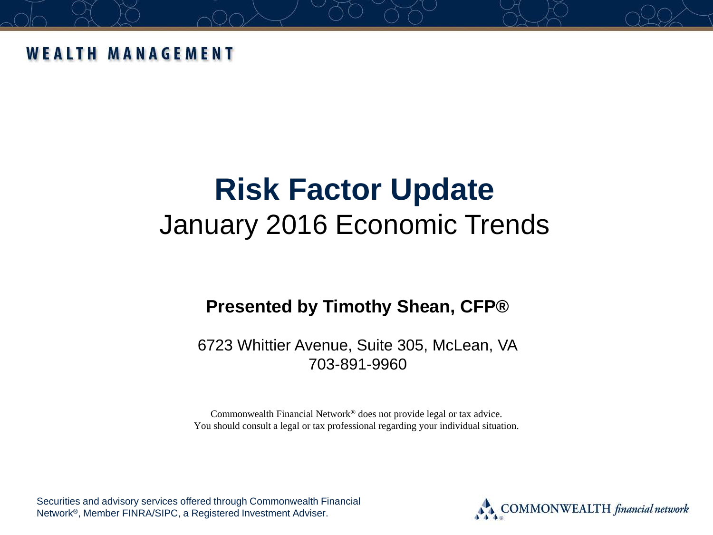#### **WEALTH MANAGEMENT**

# **Risk Factor Update**  January 2016 Economic Trends

#### **Presented by Timothy Shean, CFP®**

6723 Whittier Avenue, Suite 305, McLean, VA 703-891-9960

Commonwealth Financial Network® does not provide legal or tax advice. You should consult a legal or tax professional regarding your individual situation.

Securities and advisory services offered through Commonwealth Financial Network®, Member FINRA/SIPC, a Registered Investment Adviser.

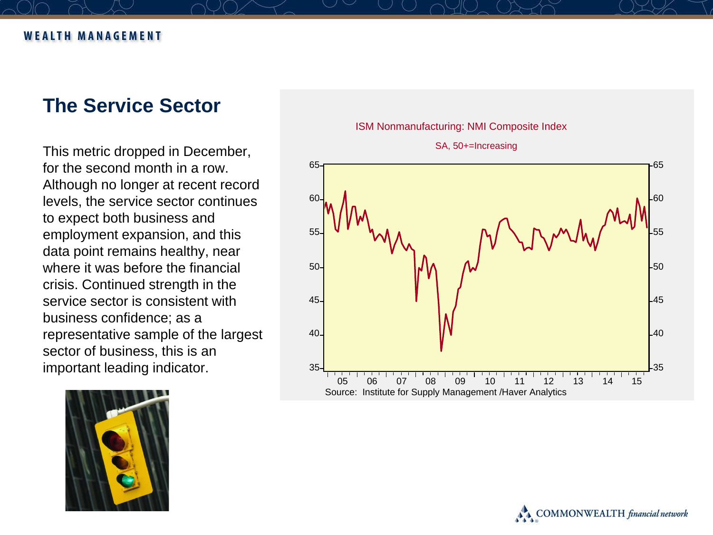#### **The Service Sector**

This metric dropped in December, for the second month in a row. Although no longer at recent record levels, the service sector continues to expect both business and employment expansion, and this data point remains healthy, near where it was before the financial crisis. Continued strength in the service sector is consistent with business confidence; as a representative sample of the largest sector of business, this is an important leading indicator.





#### ISM Nonmanufacturing: NMI Composite Index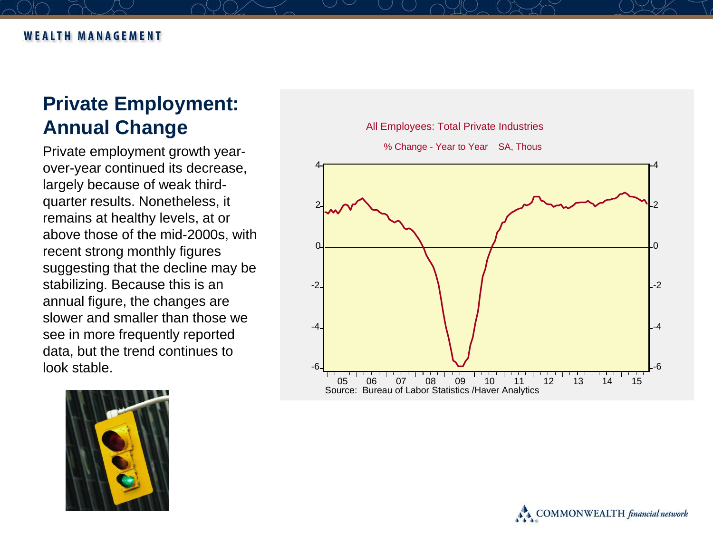## **Private Employment: Annual Change**

Private employment growth year over -year continued its decrease, largely because of weak third quarter results. Nonetheless, it remains at healthy levels, at or above those of the mid -2000s, with recent strong monthly figures suggesting that the decline may be stabilizing. Because this is an annual figure, the changes are slower and smaller than those we see in more frequently reported data, but the trend continues to look stable .



All Employees: Total Private Industries



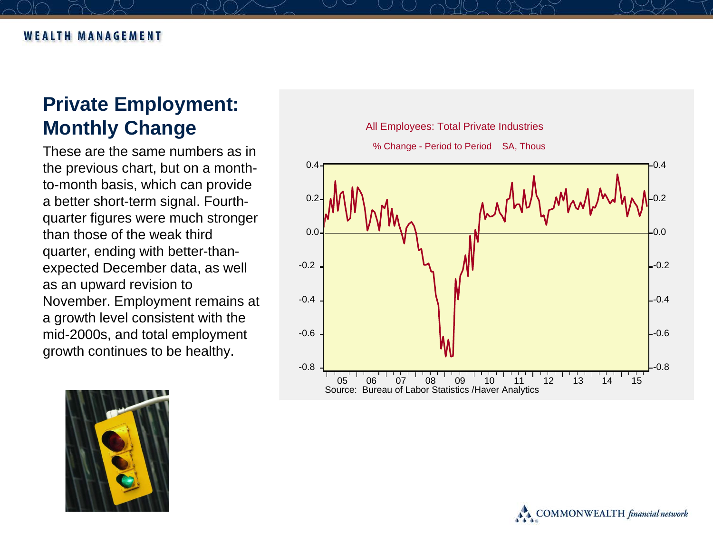## **Private Employment: Monthly Change**

These are the same numbers as in the previous chart, but on a monthto-month basis, which can provide a better short-term signal. Fourthquarter figures were much stronger than those of the weak third quarter, ending with better-thanexpected December data, as well as an upward revision to November. Employment remains at a growth level consistent with the mid-2000s, and total employment growth continues to be healthy.

All Employees: Total Private Industries





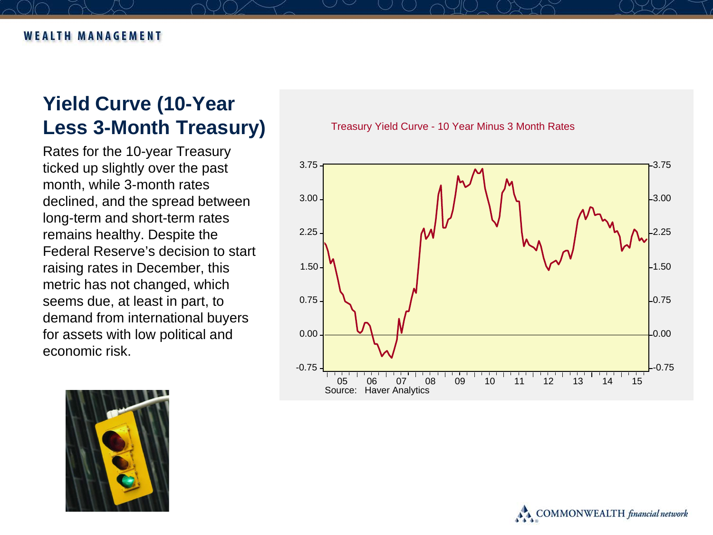#### **Yield Curve (10-Year Less 3-Month Treasury)**

Rates for the 10-year Treasury ticked up slightly over the past month, while 3-month rates declined, and the spread between long-term and short-term rates remains healthy. Despite the Federal Reserve's decision to start raising rates in December, this metric has not changed, which seems due, at least in part, to demand from international buyers for assets with low political and economic risk.

Treasury Yield Curve - 10 Year Minus 3 Month Rates





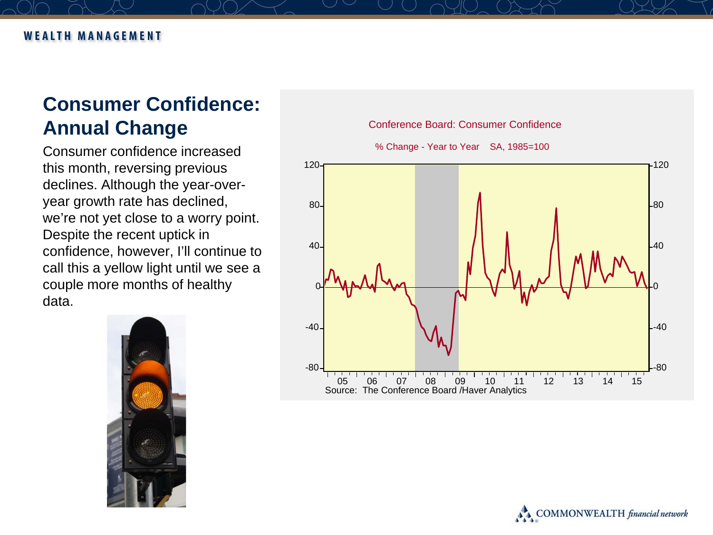## **Consumer Confidence: Annual Change**

Consumer confidence increased this month, reversing previous declines. Although the year-overyear growth rate has declined, we're not yet close to a worry point. Despite the recent uptick in confidence, however, I'll continue to call this a yellow light until we see a couple more months of healthy data.



% Change - Year to Year SA, 1985=100



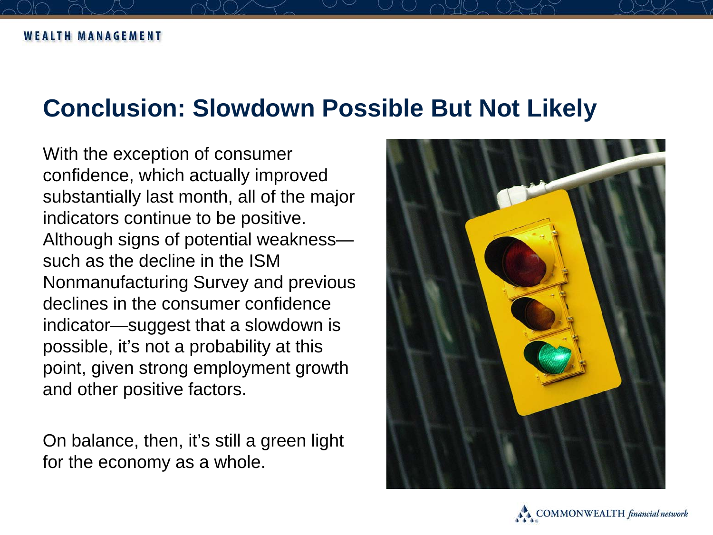# **Conclusion: Slowdown Possible But Not Likely**

With the exception of consumer confidence, which actually improved substantially last month, all of the major indicators continue to be positive. Although signs of potential weakness such as the decline in the ISM Nonmanufacturing Survey and previous declines in the consumer confidence indicator—suggest that a slowdown is possible, it's not a probability at this point, given strong employment growth and other positive factors.

On balance, then, it's still a green light for the economy as a whole.